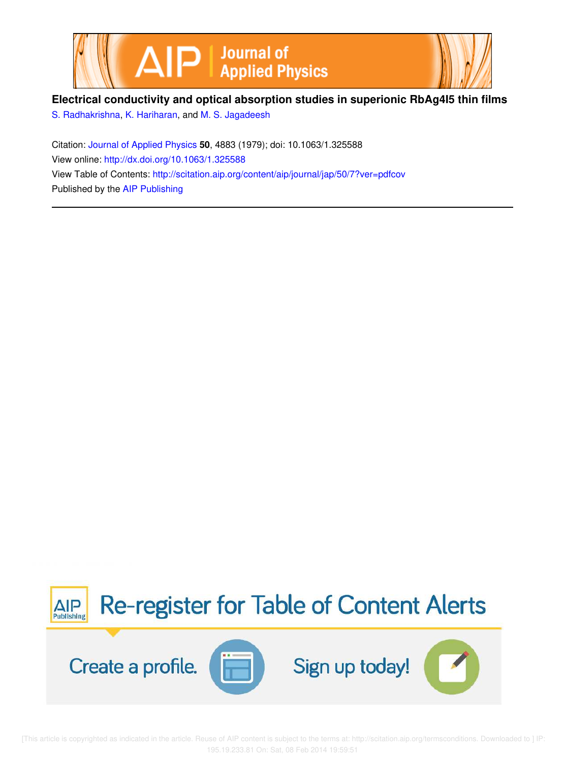



# **Electrical conductivity and optical absorption studies in superionic RbAg4I5 thin films**

S. Radhakrishna, K. Hariharan, and M. S. Jagadeesh

Citation: Journal of Applied Physics **50**, 4883 (1979); doi: 10.1063/1.325588 View online: http://dx.doi.org/10.1063/1.325588 View Table of Contents: http://scitation.aip.org/content/aip/journal/jap/50/7?ver=pdfcov Published by the AIP Publishing



[This article is copyrighted as indicated in the article. Reuse of AIP content is subject to the terms at: http://scitation.aip.org/termsconditions. Downloaded to ] IP: 195.19.233.81 On: Sat, 08 Feb 2014 19:59:51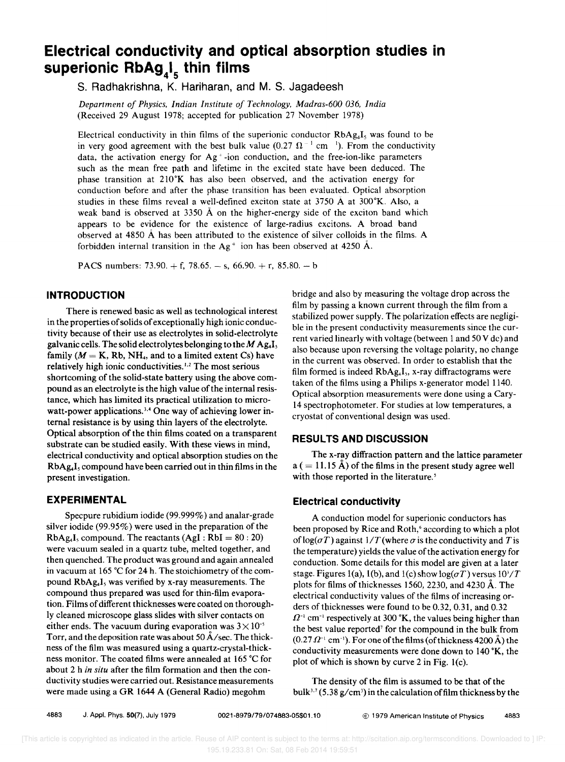# **Electrical conductivity and optical absorption studies in superionic RbA9<sup>4</sup> 1s thin films**

s. Radhakrishna, K. Hariharan, and M. S. Jagadeesh

*Department of Physics, Indian Institute of Technology, Madras-600 036, India*  (Received 29 August 1978; accepted for publication 27 November 1978)

Electrical conductivity in thin films of the superionic conductor  $RbAg<sub>4</sub>I<sub>5</sub>$  was found to be in very good agreement with the best bulk value (0.27  $\Omega^{-1}$  cm <sup>1</sup>). From the conductivity data, the activation energy for Ag' -ion conduction, and the free-ion-like parameters such as the mean free path and lifetime in the excited state have been deduced. The phase transition at  $210\text{°K}$  has also been observed, and the activation energy for conduction before and after the phase transition has been evaluated. Optical absorption studies in these films reveal a well-defined exciton state at  $3750 \text{ Å}$  at  $300^{\circ}$ K. Also, a weak band is observed at 3350 A on the higher-energy side of the exciton band which appears to be evidence for the existence of large-radius excitons. A broad band observed at 4850 A has been attributed to the existence of silver colloids in the films. A forbidden internal transition in the  $Ag<sup>+</sup>$  ion has been observed at 4250 Å.

PACS numbers:  $73.90. + f$ ,  $78.65. - s$ ,  $66.90. + r$ ,  $85.80. - b$ 

#### **INTRODUCTION**

There is renewed basic as well as technological interest in the properties of solids of exceptionally high ionic conductivity because of their use as electrolytes in solid-electrolyte galvanic cells. The solid electrolytes belonging to the  $M$  Ag.I, family ( $M = K$ , Rb, NH<sub>4</sub>, and to a limited extent Cs) have relatively high ionic conductivities.<sup>1,2</sup> The most serious shortcoming of the solid-state battery using the above compound as an electrolyte is the high value of the internal resistance, which has limited its practical utilization to microwatt-power applications.<sup>3,4</sup> One way of achieving lower internal resistance is by using thin layers of the electrolyte. Optical absorption of the thin films coated on a transparent substrate can be studied easily. With these views in mind, electrical conductivity and optical absorption studies on the  $RbAg<sub>4</sub>I<sub>5</sub>$  compound have been carried out in thin films in the present investigation.

# **EXPERIMENTAL**

Specpure rubidium iodide (99.999%) and analar-grade silver iodide (99.95%) were used in the preparation of the  $RbAg<sub>4</sub>I<sub>5</sub>$  compound. The reactants  $(AgI : RbI = 80 : 20)$ were vacuum sealed in a quartz tube, melted together, and then quenched. The product was ground and again annealed in vacuum at 165°C for 24 h. The stoichiometry of the compound  $RbAg<sub>4</sub>I<sub>5</sub>$  was verified by x-ray measurements. The compound thus prepared was used for thin-film evaporation. Films of different thicknesses were coated on thoroughly cleaned microscope glass slides with silver contacts on either ends. The vacuum during evaporation was  $3 \times 10^{-5}$ Torr, and the deposition rate was about 50  $\AA$ /sec. The thickness of the film was measured using a quartz-crystal-thickness monitor. The coated films were annealed at 165°C for about 2 h *in situ* after the film formation and then the conductivity studies were carried out. Resistance measurements were made using a GR 1644 A (General Radio) megohm

bridge and also by measuring the voltage drop across the film by passing a known current through the film from a stabilized power supply. The polarization effects are negligible in the present conductivity measurements since the current varied linearly with voltage (between 1 and 50 V dc) and also because upon reversing the voltage polarity, no change in the current was observed. In order to establish that the film formed is indeed  $RbAg<sub>4</sub>I<sub>3</sub>$ , x-ray diffractograms were taken of the films using a Philips x-generator model 1140. Optical absorption measurements were done using a Cary-14 spectrophotometer. For studies at low temperatures, a cryostat of conventional design was used.

## **RESULTS AND DISCUSSION**

The x-ray diffraction pattern and the lattice parameter  $a (= 11.15 \text{ Å})$  of the films in the present study agree well with those reported in the literature.<sup>5</sup>

## **Electrical conductivity**

A conduction model for superionic conductors has been proposed by Rice and Roth,<sup>6</sup> according to which a plot of  $log(\sigma T)$  against  $1/T$  (where  $\sigma$  is the conductivity and T is the temperature) yields the value of the activation energy for conduction. Some details for this model are given at a later stage. Figures 1(a), 1(b), and 1(c) show  $log(\sigma T)$  versus  $10^{3}/T$ plots for films of thicknesses 1560, 2230, and 4230  $\AA$ . The electrical conductivity values of the films of increasing orders of thicknesses were found to be 0.32, 0.31, and 0.32  $\Omega^{-1}$  cm<sup>-1</sup> respectively at 300 °K, the values being higher than the best value reported' for the compound in the bulk from  $(0.27 \Omega^{-1} \text{ cm}^{-1})$ . For one of the films (of thickness 4200 Å) the conductivity measurements were done down to 140 °K, the plot of which is shown by curve 2 in Fig. l(c).

The density of the film is assumed to be that of the bulk<sup>3,7</sup> (5.38 g/cm<sup>3</sup>) in the calculation of film thickness by the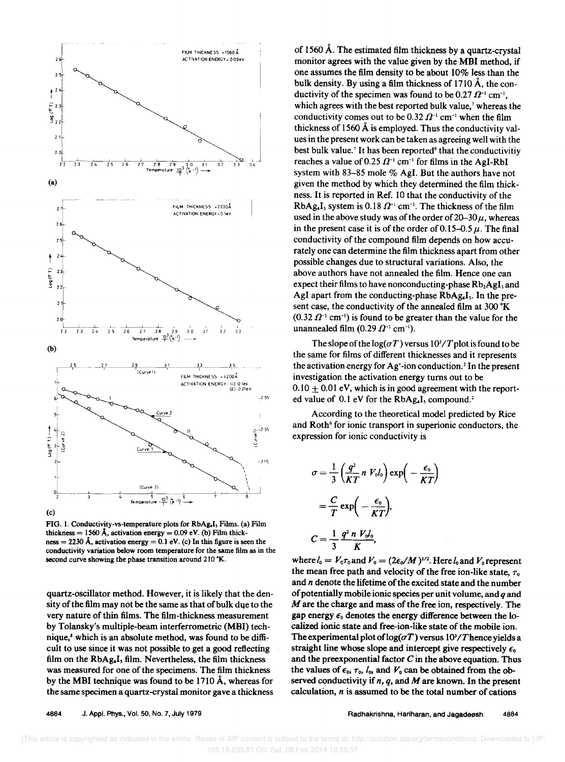

FIG. 1. Conductivity-vs-temperature plots for RbAg.I, Films. (a) Film thickness = 1560 Å, activation energy = 0.09 eV. (b) Film thickness = 2230 Å, activation energy = 0.1 eV. (c) In this figure is seen the conductivity variation below room temperature for the same film as in the second curve showing the phase transition around 210 °K.

quartz-oscillator method. However. it is likely that the density of the film may not be the same as that of bulk dqe to the very nature of thin films. The film-thickness measurement by Tolansky's multiple-beam interferrometric (MBI) technique,<sup>8</sup> which is an absolute method, was found to be difficult to use since it was not possible to get a good reflecting film on the RbAg.I, film. Nevertheless, the film thickness was measured for one of the specimens. The film thickness by the MBI technique was found to be 1710 A, whereas for the same specimen a quartz-crystal monitor gave a thickness

of 1560 A. The estimated film thickness by a quartz-crystal monitor agrees with the value given by the MBI method, if one assumes the film density to be about 10% less than the bulk density. By using a film thickness of 1710 A, the conductivity of the specimen was found to be 0.27  $\Omega^{-1}$  cm<sup>-1</sup>, which agrees with the best reported bulk value,<sup>7</sup> whereas the conductivity comes out to be 0.32  $\Omega^{-1}$  cm<sup>-1</sup> when the film thickness of 1560  $\AA$  is employed. Thus the conductivity values in the present work can be taken as agreeing well with the best bulk value.<sup>7</sup> It has been reported<sup>9</sup> that the conductivitiv reaches a value of 0.25  $\Omega^{-1}$  cm<sup>-1</sup> for films in the AgI-RbI system with 83-85 mole % AgI. But the authors have not given the method by which they determined the film thickness. It is reported in Ref. 10 that the conductivity of the system is 0.18  $\Omega^{-1}$  cm<sup>-1</sup>. The thickness of the film used in the above study was of the order of  $20-30\mu$ , whereas in the present case it is of the order of 0.15–0.5  $\mu$ . The final conductivity of the compound film depends on how accurately one can determine the film thickness apart from other possible changes due to structural variations. Also, the above authors have not annealed the film. Hence one can expect their films to have nonconducting-phase  $Rb_2AgI_3$  and AgI apart from the conducting-phase  $RbAg<sub>4</sub>I<sub>s</sub>$ . In the present case, the conductivity of the annealed film at 300 $\mathrm{K}$  $(0.32 \Omega^{-1} \text{ cm}^{-1})$  is found to be greater than the value for the unannealed film  $(0.29 \Omega^{-1} \text{ cm}^{-1})$ .

The slope of the  $log(\sigma T)$  versus  $10^{3}/T$  plot is found to be the same for films of different thicknesses and it represents the activation energy for Ag+-ion conduction. 2 In the present investigation the activation energy turns out to be  $0.10 \pm 0.01$  eV, which is in good agreement with the reported value of  $0.1$  eV for the RbAg.I, compound.<sup>2</sup>

According to the theoretical model predicted by Rice and Roth<sup>6</sup> for ionic transport in superionic conductors, the expression for ionic conductivity is

$$
\sigma = \frac{1}{3} \left( \frac{q^2}{KT} n V_o l_o \right) \exp \left( -\frac{\epsilon_o}{KT} \right)
$$

$$
= \frac{C}{T} \exp \left( -\frac{\epsilon_o}{KT} \right),
$$

$$
C = \frac{1}{3} \frac{q^2 n V_o l_o}{K},
$$

where  $l_0 = V_0 \tau_0$  and  $V_0 = (2\epsilon_0/M)^{1/2}$ . Here  $l_0$  and  $V_0$  represent the mean free path and velocity of the free ion-like state,  $\tau_0$ and *n* denote the lifetime of the excited state and the number of potentially mobile ionic species per unit volume, and *q* and M are the charge and mass of the free ion, respectively. The gap energy  $\epsilon_0$  denotes the energy difference between the localized ionic state and free-ion-like state of the mobile ion. The experimental plot of  $log(\sigma T)$  versus  $10^3/T$  hence yields a straight line whose slope and intercept give respectively  $\epsilon_0$ and the preexponential factor *C* in the above equation. Thus the values of  $\epsilon_0$ ,  $\tau_0$ ,  $l_0$ , and  $V_0$  can be obtained from the observed conductivity if *n, q,* and M are known. In the present calculation, *n* is assumed to be the total number of cations

Radhakrishna, Hariharan, and Jagadeesh 4884

 <sup>[</sup>This article is copyrighted as indicated in the article. Reuse of AIP content is subject to the terms at: http://scitation.aip.org/termsconditions. Downloaded to ] IP: 195.19.233.81 On: Sat, 08 Feb 2014 19:59:51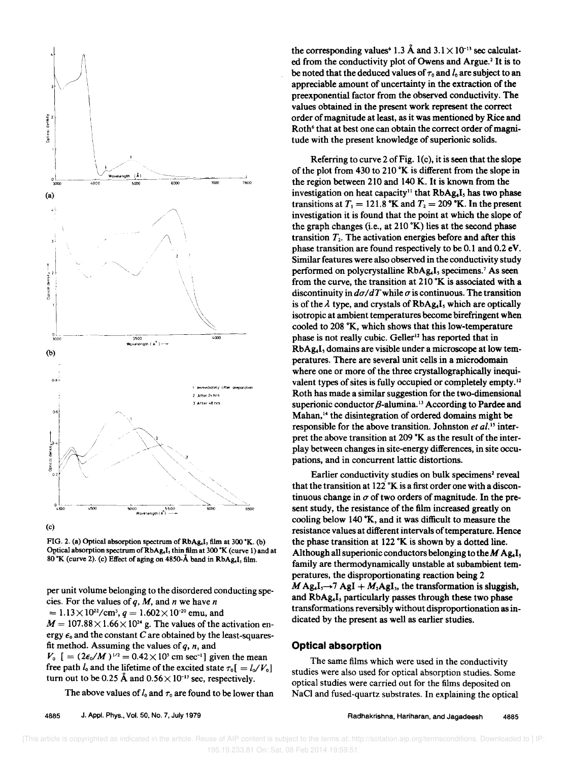



FIG. 2. (a) Optical absorption spectrum of RbAg.I, film at 300 °K. (b) Optical absorption spectrum of RbAg.I, thin film at 300 °K (curve 1) and at  $80$  K (curve 2). (c) Effect of aging on 4850-Å band in RbAg.I, film.

per unit volume belonging to the disordered conducting species. For the values of *q,* M, and *n* we have *n* 

 $= 1.13 \times 10^{22} / \text{cm}^3$ ,  $q = 1.602 \times 10^{-20}$  emu, and

 $M = 107.88 \times 1.66 \times 10^{24}$  g. The values of the activation energy  $\epsilon_0$  and the constant C are obtained by the least-squaresfit method. Assuming the values of *q, n,* and

 $V_0$  [ =  $(2\epsilon_0/M)^{1/2}$  = 0.42 × 10<sup>5</sup> cm sec<sup>-1</sup>] given the mean free path  $l_0$  and the lifetime of the excited state  $\tau_0 = l_0/V_0$ turn out to be 0.25 Å and  $0.56 \times 10^{-13}$  sec, respectively.

The above values of  $l_0$  and  $\tau_0$  are found to be lower than

the corresponding values<sup>6</sup> 1.3 Å and  $3.1 \times 10^{-13}$  sec calculated from the conductivity plot of Owens and Argue.<sup>2</sup> It is to be noted that the deduced values of  $\tau_0$  and  $l_0$  are subject to an appreciable amount of uncertainty in the extraction of the preexponential factor from the observed conductivity. The values obtained in the present work represent the correct order of magnitude at least, as it was mentioned by Rice and Roth<sup>6</sup> that at best one can obtain the correct order of magnitude with the present knowledge of superionic solids.

Referring to curve 2 of Fig. l(c), it is seen that the slope of the plot from 430 to 210  $K$  is different from the slope in the region between 210 and 140 K. It is known from the investigation on heat capacity<sup>11</sup> that RbAg<sub>4</sub>I<sub>3</sub> has two phase transitions at  $T_1 = 121.8$  °K and  $T_2 = 209$  °K. In the present investigation it is found that the point at which the slope of the graph changes (i.e., at  $210 \text{ }^{\circ}\text{K}$ ) lies at the second phase transition  $T<sub>2</sub>$ . The activation energies before and after this phase transition are found respectively to be 0.1 and 0.2 eV. Similar features were also observed in the conductivity study performed on polycrystalline  $RbAg<sub>4</sub>I<sub>3</sub>$  specimens.<sup>7</sup> As seen from the curve, the transition at  $210$  °K is associated with a discontinuity in  $d\sigma/dT$  while  $\sigma$  is continuous. The transition is of the  $\lambda$  type, and crystals of RbAg<sub>4</sub>I, which are optically isotropic at ambient temperatures become birefringent when cooled to 208 °K, which shows that this low-temperature phase is not really cubic. Geller<sup>12</sup> has reported that in RbAg<sub>4</sub>I, domains are visible under a microscope at low temperatures. There are several unit cells in a microdomain where one or more of the three crystallographically inequivalent types of sites is fully occupied or completely empty.<sup>12</sup> Roth has made a similar suggestion for the two-dimensional superionic conductor  $\beta$ -alumina.<sup>13</sup> According to Pardee and Mahan,<sup>14</sup> the disintegration of ordered domains might be responsible for the above transition. Johnston *et 01.15* interpret the above transition at 209 °K as the result of the interplay between changes in site-energy differences, in site occupations, and in concurrent lattic distortions.

Earlier conductivity studies on bulk specimens<sup>2</sup> reveal that the transition at  $122^{\circ}$ K is a first order one with a discontinuous change in  $\sigma$  of two orders of magnitude. In the present study, the resistance of the film increased greatly on cooling below 140 °K, and it was difficult to measure the resistance values at different intervals of temperature. Hence the phase transition at 122  $K$  is shown by a dotted line. Although all superionic conductors belonging to the  $M$  Ag. I. family are thermodynamically unstable at subambient temperatures, the disproportionating reaction being 2  $M$ Ag<sub>4</sub>I<sub>3</sub> $\rightarrow$ 7 AgI + M<sub>2</sub>AgI<sub>3</sub>, the transformation is sluggish, and RbAg.I, particularly passes through these two phase transformations reversibly without disproportionation as indicated by the present as well as earlier studies.

#### **Optical absorption**

The same films which were used in the conductivity studies were also used for optical absorption studies. Some optical studies were carried out for the films deposited on NaCI and fused-quartz substrates. In explaining the optical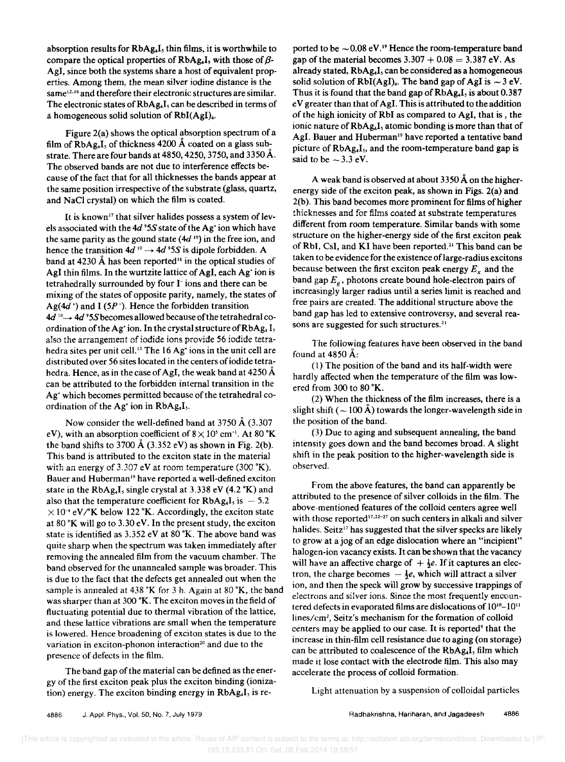absorption results for  $RbAg<sub>4</sub>I$ , thin films, it is worthwhile to compare the optical properties of  $RbAg_4I$ , with those of  $\beta$ -AgI, since both the systems share a host of equivalent properties. Among them, the mean silver iodine distance is the same<sup>12.16</sup> and therefore their electronic structures are similar. The electronic states of  $RbAg<sub>4</sub>I<sub>3</sub>$  can be described in terms of a homogeneous solid solution of RbI(AgI)<sub>4</sub>.

Figure 2(a) shows the optical absorption spectrum of a film of  $RbAg<sub>4</sub>I<sub>5</sub>$  of thickness 4200 Å coated on a glass substrate. There are four bands at  $4850$ ,  $4250$ ,  $3750$ , and  $3350 \text{\AA}$ . The observed bands are not due to interference effects because of the fact that for all thicknesses the bands appear at the same position irrespective of the substrate (glass, quartz, and NaCI crystal) on which the film is coated.

It is known<sup>17</sup> that silver halides possess a system of levels associated with the 4d <sup>9</sup>5S state of the Ag<sup>+</sup> ion which have the same parity as the gound state  $(4d^{10})$  in the free ion, and hence the transition  $4d^{10} \rightarrow 4d^{9}5S$  is dipole forbidden. A band at 4230  $\AA$  has been reported<sup>18</sup> in the optical studies of AgI thin films. In the wurtzite lattice of AgI, each Ag<sup>+</sup> ion is tetrahedrally surrounded by four 1- ions and there can be mixing of the states of opposite parity, namely, the states of Ag( $4d'$ ) and I ( $5P$ <sup>-</sup>). Hence the forbidden transition  $4d^{10} \rightarrow 4d^{9}$ 5S becomes allowed because of the tetrahedral coordination of the Ag<sup>+</sup> ion. In the crystal structure of RbAg<sub>4</sub> I<sub>5</sub> also the arrangement of iodide ions provide 56 iodide tetrahedra sites per unit cell.<sup>12</sup> The 16 Ag<sup>+</sup> ions in the unit cell are distributed over 56 sites located in the centers of iodide tetrahedra. Hence, as in the case of AgI, the weak band at 4250 Å can be attributed to the forbidden internal transition in the Ag<sup>+</sup> which becomes permitted because of the tetrahedral coordination of the Ag<sup>+</sup> ion in RbAg.I<sub>5</sub>.

Now consider the well-defined band at 3750  $\AA$  (3.307) eV), with an absorption coefficient of  $8 \times 10^5$  cm<sup>-1</sup>. At 80 °K the band shifts to 3700  $\AA$  (3.352 eV) as shown in Fig. 2(b). This band is attributed to the exciton state in the material with an energy of 3.307 eV at room temperature  $(300 \text{ °K})$ . Bauer and Huberman<sup>19</sup> have reported a well-defined exciton state in the  $RbAg<sub>a</sub>I<sub>s</sub>$  single crystal at 3.338 eV (4.2 °K) and also that the temperature coefficient for  $RbAg_4I_5$  is  $-5.2$  $\times 10^{-4}$  eV/<sup>o</sup>K below 122 °K. Accordingly, the exciton state at 80  $K$  will go to 3.30 eV. In the present study, the exciton state is identified as 3.352 eV at 80 °K. The above band was quite sharp when the spectrum was taken immediately after removing the annealed film from the vacuum chamber. The band observed for the unannealed sample was broader. This is due to the fact that the defects get annealed out when the sample is annealed at  $438 \text{ }^{\circ}\text{K}$  for 3 h. Again at  $80 \text{ }^{\circ}\text{K}$ , the band was sharper than at 300 °K. The exciton moves in the field of fluctuating potential due to thermal vibration of the lattice, and these lattice vibrations are small when the temperature is lowered. Hence broadening of exciton states is due to the variation in exciton-phonon interaction<sup>20</sup> and due to the presence of defects in the film.

The band gap of the material can be defined as the energy of the first exciton peak plus the exciton binding (ionization) energy. The exciton binding energy in  $RbAg<sub>4</sub>I<sub>5</sub>$  is re-

ported to be  $\sim 0.08$  eV.<sup>19</sup> Hence the room-temperature band gap of the material becomes  $3.307 + 0.08 = 3.387$  eV. As already stated,  $RbAg<sub>4</sub>I<sub>5</sub>$  can be considered as a homogeneous solid solution of RbI(AgI). The band gap of AgI is  $\sim$  3 eV. Thus it is found that the band gap of  $RbAg_4I$ , is about 0.387 e V greater than that of Agl. This is attributed to the addition of the high ionicity of RbI as compared to AgI, that is , the ionic nature of RbAg.<sub>I</sub>, atomic bonding is more than that of AgI. Bauer and Huberman<sup>19</sup> have reported a tentative band picture of RbAg.I<sub>s</sub>, and the room-temperature band gap is said to be  $\sim$  3.3 eV.

A weak band is observed at about  $3350 \text{\AA}$  on the higherenergy side of the exciton peak, as shown in Figs. 2(a) and 2(b). This band becomes more prominent for films of higher thicknesses and for films coated at substrate temperatures different from room temperature. Similar bands with some structure on the higher-energy side of the first exciton peak of RbI, CsI, and KI have been reported.<sup>21</sup> This band can be taken to be evidence for the existence of large-radius excitons because between the first exciton peak energy  $E_x$  and the band gap  $E_g$ , photons create bound hole-electron pairs of increasingly larger radius until a series limit is reached and free pairs are created. The additional structure above the band gap has led to extensive controversy, and several reasons are suggested for such structures.<sup>21</sup>

The following features have been observed in the band found at 4850 A:

(1) The position of the band and its half-width were hardly affected when the temperature of the film was lowered from 300 to 80 °K.

(2) When the thickness of the film increases, there is a slight shift ( $\sim$  100 Å) towards the longer-wavelength side in the position of the band.

(3) Due to aging and subsequent annealing, the band intensity goes down and the band becomes broad. A slight shift in the peak position to the higher-wavelength side is observed.

From the above features, the band can apparently be attributed to the presence of silver colloids in the film. The above-mentioned features of the colloid centers agree well with those reported<sup>17,22-27</sup> on such centers in alkali and silver halides. Seitz<sup>17</sup> has suggested that the silver specks are likely to grow at a jog of an edge dislocation where an "incipient" halogen-ion vacancy exists. It can be shown that the vacancy will have an affective charge of  $+ \frac{1}{2}e$ . If it captures an electron, the charge becomes  $-\frac{1}{2}e$ , which will attract a silver ion, and then the speck will grow by successive trappings of electrons and silver ions. Since the most frequently encountered defects in evaporated films are dislocations of  $10^{10} - 10^{11}$ lines/cm<sup>2</sup> , Seitz's mechanism for the formation of colloid centers may be applied to our case. It is reported<sup>9</sup> that the increase in thin-film cell resistance due to aging (on storage) can be attributed to coalescence of the  $RbAg<sub>4</sub>I<sub>s</sub>$  film which made it lose contact with the electrode film. This also may accelerate the process of colloid formation.

Light attenuation by a suspension of colloidal particles